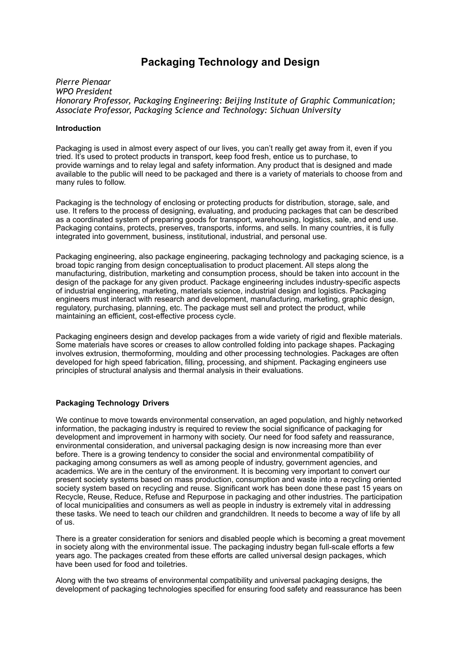# **Packaging Technology and Design**

*Pierre Pienaar WPO President Honorary Professor, Packaging Engineering: Beijing Institute of Graphic Communication; Associate Professor, Packaging Science and Technology: Sichuan University* 

## **Introduction**

Packaging is used in almost every aspect of our lives, you can't really get away from it, even if you tried. It's used to protect products in transport, keep food fresh, entice us to purchase, to provide warnings and to relay legal and safety information. Any product that is designed and made available to the public will need to be packaged and there is a variety of materials to choose from and many rules to follow.

Packaging is the technology of enclosing or protecting products for distribution, storage, sale, and use. It refers to the process of designing, evaluating, and producing packages that can be described as a coordinated system of preparing goods for transport, warehousing, logistics, sale, and end use. Packaging contains, protects, preserves, transports, informs, and sells. In many countries, it is fully integrated into government, business, institutional, industrial, and personal use.

Packaging engineering, also package engineering, packaging technology and packaging science, is a broad topic ranging from design conceptualisation to product placement. All steps along the manufacturing, distribution, marketing and consumption process, should be taken into account in the design of the package for any given product. Package engineering includes industry-specific aspects of industrial engineering, marketing, materials science, industrial design and logistics. Packaging engineers must interact with research and development, manufacturing, marketing, graphic design, regulatory, purchasing, planning, etc. The package must sell and protect the product, while maintaining an efficient, cost-effective process cycle.

Packaging engineers design and develop packages from a wide variety of rigid and flexible materials. Some materials have scores or creases to allow controlled folding into package shapes. Packaging involves extrusion, thermoforming, moulding and other processing technologies. Packages are often developed for high speed fabrication, filling, processing, and shipment. Packaging engineers use principles of structural analysis and thermal analysis in their evaluations.

# **Packaging Technology Drivers**

We continue to move towards environmental conservation, an aged population, and highly networked information, the packaging industry is required to review the social significance of packaging for development and improvement in harmony with society. Our need for food safety and reassurance, environmental consideration, and universal packaging design is now increasing more than ever before. There is a growing tendency to consider the social and environmental compatibility of packaging among consumers as well as among people of industry, government agencies, and academics. We are in the century of the environment. It is becoming very important to convert our present society systems based on mass production, consumption and waste into a recycling oriented society system based on recycling and reuse. Significant work has been done these past 15 years on Recycle, Reuse, Reduce, Refuse and Repurpose in packaging and other industries. The participation of local municipalities and consumers as well as people in industry is extremely vital in addressing these tasks. We need to teach our children and grandchildren. It needs to become a way of life by all of us.

There is a greater consideration for seniors and disabled people which is becoming a great movement in society along with the environmental issue. The packaging industry began full-scale efforts a few years ago. The packages created from these efforts are called universal design packages, which have been used for food and toiletries.

Along with the two streams of environmental compatibility and universal packaging designs, the development of packaging technologies specified for ensuring food safety and reassurance has been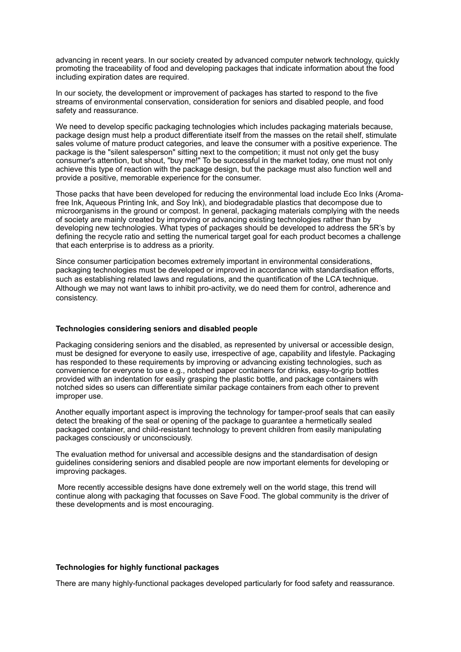advancing in recent years. In our society created by advanced computer network technology, quickly promoting the traceability of food and developing packages that indicate information about the food including expiration dates are required.

In our society, the development or improvement of packages has started to respond to the five streams of environmental conservation, consideration for seniors and disabled people, and food safety and reassurance.

We need to develop specific packaging technologies which includes packaging materials because, package design must help a product differentiate itself from the masses on the retail shelf, stimulate sales volume of mature product categories, and leave the consumer with a positive experience. The package is the "silent salesperson" sitting next to the competition; it must not only get the busy consumer's attention, but shout, "buy me!" To be successful in the market today, one must not only achieve this type of reaction with the package design, but the package must also function well and provide a positive, memorable experience for the consumer.

Those packs that have been developed for reducing the environmental load include Eco Inks (Aromafree Ink, Aqueous Printing Ink, and Soy Ink), and biodegradable plastics that decompose due to microorganisms in the ground or compost. In general, packaging materials complying with the needs of society are mainly created by improving or advancing existing technologies rather than by developing new technologies. What types of packages should be developed to address the 5R's by defining the recycle ratio and setting the numerical target goal for each product becomes a challenge that each enterprise is to address as a priority.

Since consumer participation becomes extremely important in environmental considerations, packaging technologies must be developed or improved in accordance with standardisation efforts, such as establishing related laws and regulations, and the quantification of the LCA technique**.**  Although we may not want laws to inhibit pro-activity, we do need them for control, adherence and consistency.

## **Technologies considering seniors and disabled people**

Packaging considering seniors and the disabled, as represented by universal or accessible design, must be designed for everyone to easily use, irrespective of age, capability and lifestyle. Packaging has responded to these requirements by improving or advancing existing technologies, such as convenience for everyone to use e.g., notched paper containers for drinks, easy-to-grip bottles provided with an indentation for easily grasping the plastic bottle, and package containers with notched sides so users can differentiate similar package containers from each other to prevent improper use.

Another equally important aspect is improving the technology for tamper-proof seals that can easily detect the breaking of the seal or opening of the package to guarantee a hermetically sealed packaged container, and child-resistant technology to prevent children from easily manipulating packages consciously or unconsciously.

The evaluation method for universal and accessible designs and the standardisation of design guidelines considering seniors and disabled people are now important elements for developing or improving packages.

More recently accessible designs have done extremely well on the world stage, this trend will continue along with packaging that focusses on Save Food. The global community is the driver of these developments and is most encouraging.

#### **Technologies for highly functional packages**

There are many highly-functional packages developed particularly for food safety and reassurance.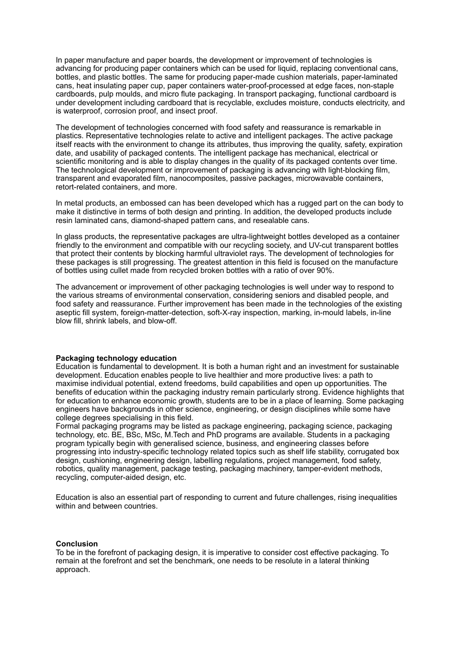In paper manufacture and paper boards, the development or improvement of technologies is advancing for producing paper containers which can be used for liquid, replacing conventional cans, bottles, and plastic bottles. The same for producing paper-made cushion materials, paper-laminated cans, heat insulating paper cup, paper containers water-proof-processed at edge faces, non-staple cardboards, pulp moulds, and micro flute packaging. In transport packaging, functional cardboard is under development including cardboard that is recyclable, excludes moisture, conducts electricity, and is waterproof, corrosion proof, and insect proof.

The development of technologies concerned with food safety and reassurance is remarkable in plastics. Representative technologies relate to active and intelligent packages. The active package itself reacts with the environment to change its attributes, thus improving the quality, safety, expiration date, and usability of packaged contents. The intelligent package has mechanical, electrical or scientific monitoring and is able to display changes in the quality of its packaged contents over time. The technological development or improvement of packaging is advancing with light-blocking film, transparent and evaporated film, nanocomposites, passive packages, microwavable containers, retort-related containers, and more.

In metal products, an embossed can has been developed which has a rugged part on the can body to make it distinctive in terms of both design and printing. In addition, the developed products include resin laminated cans, diamond-shaped pattern cans, and resealable cans.

In glass products, the representative packages are ultra-lightweight bottles developed as a container friendly to the environment and compatible with our recycling society, and UV-cut transparent bottles that protect their contents by blocking harmful ultraviolet rays. The development of technologies for these packages is still progressing. The greatest attention in this field is focused on the manufacture of bottles using cullet made from recycled broken bottles with a ratio of over 90%.

The advancement or improvement of other packaging technologies is well under way to respond to the various streams of environmental conservation, considering seniors and disabled people, and food safety and reassurance. Further improvement has been made in the technologies of the existing aseptic fill system, foreign-matter-detection, soft-X-ray inspection, marking, in-mould labels, in-line blow fill, shrink labels, and blow-off.

#### **Packaging technology education**

Education is fundamental to development. It is both a human right and an investment for sustainable development. Education enables people to live healthier and more productive lives: a path to maximise individual potential, extend freedoms, build capabilities and open up opportunities. The benefits of education within the packaging industry remain particularly strong. Evidence highlights that for education to enhance economic growth, students are to be in a place of learning. Some [packaging](https://en.wikipedia.org/wiki/Packaging) engineers have backgrounds in other [science](https://en.wikipedia.org/wiki/Science), [engineering](https://en.wikipedia.org/wiki/Engineering), or [design](https://en.wikipedia.org/wiki/Design) disciplines while some have college degrees specialising in this field.

Formal packaging programs may be listed as package engineering, packaging science, packaging technology, etc. BE, BSc, MSc, M.Tech and PhD programs are available. Students in a packaging program typically begin with generalised science, business, and engineering classes before progressing into industry-specific technology related topics such as [shelf life](https://en.wikipedia.org/wiki/Shelf_life) stability, [corrugated box](https://en.wikipedia.org/wiki/Corrugated_box_design)  [design](https://en.wikipedia.org/wiki/Corrugated_box_design), [cushioning,](https://en.wikipedia.org/wiki/Cushioning) [engineering design,](https://en.wikipedia.org/wiki/Engineering_design) labelling regulations, [project management,](https://en.wikipedia.org/wiki/Project_management) [food safety,](https://en.wikipedia.org/wiki/Food_safety) [robotics](https://en.wikipedia.org/wiki/Robotics), [quality management,](https://en.wikipedia.org/wiki/Quality_management) [package testing](https://en.wikipedia.org/wiki/Package_testing), packaging machinery, [tamper-evident](https://en.wikipedia.org/wiki/Tamper-evident) methods, [recycling](https://en.wikipedia.org/wiki/Recycling), [computer-aided design,](https://en.wikipedia.org/wiki/Computer-aided_design) etc.

Education is also an essential part of responding to current and future challenges, rising inequalities within and between countries.

#### **Conclusion**

To be in the forefront of packaging design, it is imperative to consider cost effective packaging. To remain at the forefront and set the benchmark, one needs to be resolute in a lateral thinking approach.